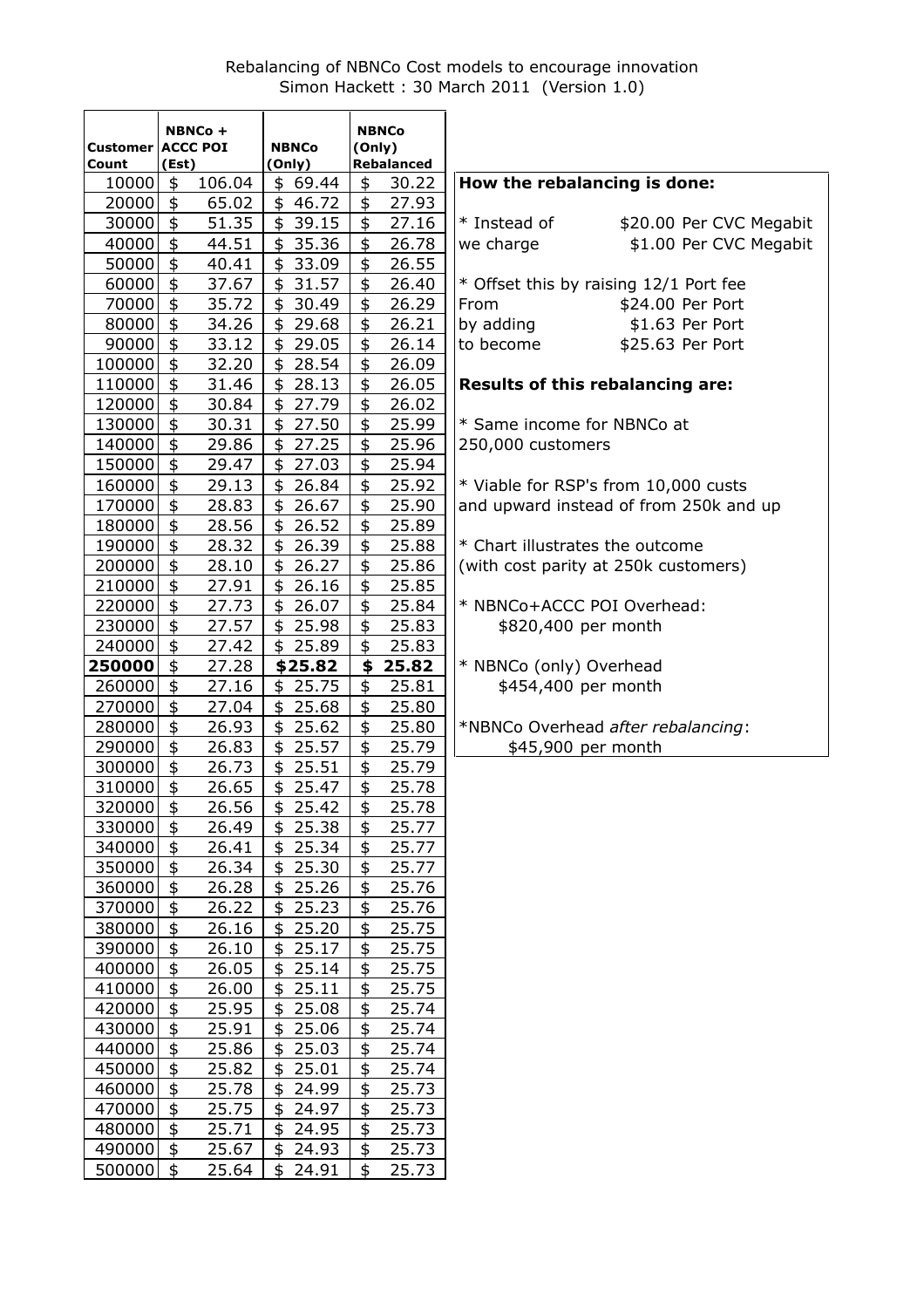# Rebalancing of NBNCo Cost models to encourage innovation Simon Hackett : 30 March 2011 (Version 1.0)

| Customer ACCC POI<br><b>NBNCo</b><br>(Only)<br>Rebalanced<br>Count<br>(Est)<br>(Only)<br>$\frac{1}{2}$<br>How the rebalancing is done:<br>106.04<br>$\frac{1}{2}$<br>30.22<br>10000<br>\$69.44<br>$\ddagger$<br>$20000$ \$<br>65.02<br>27.93<br>\$46.72<br>$\ddagger$<br>$30000$ \$<br>51.35<br>\$39.15<br>27.16<br>* Instead of<br>\$20.00 Per CVC Megabit<br>$\ddagger$<br>\$<br>40000<br>44.51<br>\$35.36<br>\$1.00 Per CVC Megabit<br>26.78<br>we charge<br>\$<br>\$<br>50000<br>40.41<br>\$33.09<br>26.55<br>$\frac{1}{2}$<br>\$<br>37.67<br>60000<br>\$31.57<br>26.40<br>* Offset this by raising 12/1 Port fee<br>$\ddot{\bm{\epsilon}}$<br>$\ddagger$<br>70000<br>35.72<br>26.29<br>\$30.49<br>\$24.00 Per Port<br>From<br>\$<br>\$<br>80000<br>34.26<br>26.21<br>by adding<br>\$1.63 Per Port<br>\$29.68<br>\$<br>$\ddagger$<br>90000<br>\$29.05<br>26.14<br>\$25.63 Per Port<br>33.12<br>to become<br>$\overline{\mathfrak{s}}$<br>$\ddot{\bm{\epsilon}}$<br>100000<br>32.20<br>28.54<br>\$<br>26.09 |  |
|----------------------------------------------------------------------------------------------------------------------------------------------------------------------------------------------------------------------------------------------------------------------------------------------------------------------------------------------------------------------------------------------------------------------------------------------------------------------------------------------------------------------------------------------------------------------------------------------------------------------------------------------------------------------------------------------------------------------------------------------------------------------------------------------------------------------------------------------------------------------------------------------------------------------------------------------------------------------------------------------------------------|--|
|                                                                                                                                                                                                                                                                                                                                                                                                                                                                                                                                                                                                                                                                                                                                                                                                                                                                                                                                                                                                                |  |
|                                                                                                                                                                                                                                                                                                                                                                                                                                                                                                                                                                                                                                                                                                                                                                                                                                                                                                                                                                                                                |  |
|                                                                                                                                                                                                                                                                                                                                                                                                                                                                                                                                                                                                                                                                                                                                                                                                                                                                                                                                                                                                                |  |
|                                                                                                                                                                                                                                                                                                                                                                                                                                                                                                                                                                                                                                                                                                                                                                                                                                                                                                                                                                                                                |  |
|                                                                                                                                                                                                                                                                                                                                                                                                                                                                                                                                                                                                                                                                                                                                                                                                                                                                                                                                                                                                                |  |
|                                                                                                                                                                                                                                                                                                                                                                                                                                                                                                                                                                                                                                                                                                                                                                                                                                                                                                                                                                                                                |  |
|                                                                                                                                                                                                                                                                                                                                                                                                                                                                                                                                                                                                                                                                                                                                                                                                                                                                                                                                                                                                                |  |
|                                                                                                                                                                                                                                                                                                                                                                                                                                                                                                                                                                                                                                                                                                                                                                                                                                                                                                                                                                                                                |  |
|                                                                                                                                                                                                                                                                                                                                                                                                                                                                                                                                                                                                                                                                                                                                                                                                                                                                                                                                                                                                                |  |
|                                                                                                                                                                                                                                                                                                                                                                                                                                                                                                                                                                                                                                                                                                                                                                                                                                                                                                                                                                                                                |  |
|                                                                                                                                                                                                                                                                                                                                                                                                                                                                                                                                                                                                                                                                                                                                                                                                                                                                                                                                                                                                                |  |
| \$<br>\$<br>110000<br>31.46<br>28.13<br>26.05<br>Results of this rebalancing are:<br>\$                                                                                                                                                                                                                                                                                                                                                                                                                                                                                                                                                                                                                                                                                                                                                                                                                                                                                                                        |  |
| \$<br>\$<br>120000<br>\$27.79<br>30.84<br>26.02                                                                                                                                                                                                                                                                                                                                                                                                                                                                                                                                                                                                                                                                                                                                                                                                                                                                                                                                                                |  |
| $\ddot{\bm{\epsilon}}$<br>\$<br>25.99<br>130000<br>30.31<br>\$27.50<br>* Same income for NBNCo at                                                                                                                                                                                                                                                                                                                                                                                                                                                                                                                                                                                                                                                                                                                                                                                                                                                                                                              |  |
| $\ddot{\bm{\epsilon}}$<br>$\ddot{\bm{z}}$<br>25.96<br>140000<br>29.86<br>\$<br>27.25<br>250,000 customers                                                                                                                                                                                                                                                                                                                                                                                                                                                                                                                                                                                                                                                                                                                                                                                                                                                                                                      |  |
| $\ddot{\bm{\zeta}}$<br>$\ddot{\bm{z}}$<br>150000<br>\$27.03<br>25.94<br>29.47                                                                                                                                                                                                                                                                                                                                                                                                                                                                                                                                                                                                                                                                                                                                                                                                                                                                                                                                  |  |
| $\ddagger$<br>\$<br>160000<br>29.13<br>\$26.84<br>25.92<br>* Viable for RSP's from 10,000 custs                                                                                                                                                                                                                                                                                                                                                                                                                                                                                                                                                                                                                                                                                                                                                                                                                                                                                                                |  |
| $\ddagger$<br>\$<br>170000<br>and upward instead of from 250k and up<br>28.83<br>\$26.67<br>25.90                                                                                                                                                                                                                                                                                                                                                                                                                                                                                                                                                                                                                                                                                                                                                                                                                                                                                                              |  |
| $\ddagger$<br>\$<br>180000<br>25.89<br>28.56<br>\$26.52                                                                                                                                                                                                                                                                                                                                                                                                                                                                                                                                                                                                                                                                                                                                                                                                                                                                                                                                                        |  |
| $\ddagger$<br>\$<br>190000<br>28.32<br>25.88<br>* Chart illustrates the outcome<br>\$26.39                                                                                                                                                                                                                                                                                                                                                                                                                                                                                                                                                                                                                                                                                                                                                                                                                                                                                                                     |  |
| $\ddagger$<br>$\frac{1}{2}$<br>25.86<br>200000<br>28.10<br>\$26.27<br>(with cost parity at 250k customers)                                                                                                                                                                                                                                                                                                                                                                                                                                                                                                                                                                                                                                                                                                                                                                                                                                                                                                     |  |
| $\overline{\mathfrak{s}}$<br>$\ddot{\bm{z}}$<br>27.91<br>25.85<br>210000<br>\$26.16                                                                                                                                                                                                                                                                                                                                                                                                                                                                                                                                                                                                                                                                                                                                                                                                                                                                                                                            |  |
| \$<br>$\ddagger$<br>* NBNCo+ACCC POI Overhead:<br>220000<br>25.84<br>27.73<br>\$26.07                                                                                                                                                                                                                                                                                                                                                                                                                                                                                                                                                                                                                                                                                                                                                                                                                                                                                                                          |  |
| \$<br>\$<br>230000<br>27.57<br>\$<br>25.98<br>25.83<br>\$820,400 per month                                                                                                                                                                                                                                                                                                                                                                                                                                                                                                                                                                                                                                                                                                                                                                                                                                                                                                                                     |  |
| $\ddagger$<br>\$<br>240000<br>27.42<br>\$25.89<br>25.83                                                                                                                                                                                                                                                                                                                                                                                                                                                                                                                                                                                                                                                                                                                                                                                                                                                                                                                                                        |  |
| \$<br>\$<br>250000<br>27.28<br>25.82<br>\$25.82<br>* NBNCo (only) Overhead                                                                                                                                                                                                                                                                                                                                                                                                                                                                                                                                                                                                                                                                                                                                                                                                                                                                                                                                     |  |
| $\ddagger$<br>\$<br>260000<br>27.16<br>\$25.75<br>25.81<br>\$454,400 per month                                                                                                                                                                                                                                                                                                                                                                                                                                                                                                                                                                                                                                                                                                                                                                                                                                                                                                                                 |  |
| $\ddot{\bm{z}}$<br>\$<br>270000<br>27.04<br>\$25.68<br>25.80                                                                                                                                                                                                                                                                                                                                                                                                                                                                                                                                                                                                                                                                                                                                                                                                                                                                                                                                                   |  |
| $\ddagger$<br>\$<br>280000<br>26.93<br>25.80<br>\$25.62<br>*NBNCo Overhead after rebalancing:                                                                                                                                                                                                                                                                                                                                                                                                                                                                                                                                                                                                                                                                                                                                                                                                                                                                                                                  |  |
| \$<br>\$<br>290000<br>26.83<br>\$25.57<br>25.79<br>\$45,900 per month                                                                                                                                                                                                                                                                                                                                                                                                                                                                                                                                                                                                                                                                                                                                                                                                                                                                                                                                          |  |
| \$<br>\$<br>300000<br>26.73<br>25.79<br>\$25.51                                                                                                                                                                                                                                                                                                                                                                                                                                                                                                                                                                                                                                                                                                                                                                                                                                                                                                                                                                |  |
| \$<br>\$<br>26.65<br>\$25.47<br>25.78<br>310000                                                                                                                                                                                                                                                                                                                                                                                                                                                                                                                                                                                                                                                                                                                                                                                                                                                                                                                                                                |  |
| 25.78<br>320000<br>26.56<br>25.42<br>\$<br>\$<br>\$                                                                                                                                                                                                                                                                                                                                                                                                                                                                                                                                                                                                                                                                                                                                                                                                                                                                                                                                                            |  |
| \$<br>25.38<br>\$<br>330000<br>26.49<br>25.77<br>\$                                                                                                                                                                                                                                                                                                                                                                                                                                                                                                                                                                                                                                                                                                                                                                                                                                                                                                                                                            |  |
| \$<br>$\ddagger$<br>25.34<br>340000<br>26.41<br>\$<br>25.77                                                                                                                                                                                                                                                                                                                                                                                                                                                                                                                                                                                                                                                                                                                                                                                                                                                                                                                                                    |  |
| 350000<br>\$<br>26.34<br>25.30<br>\$<br>25.77<br>\$                                                                                                                                                                                                                                                                                                                                                                                                                                                                                                                                                                                                                                                                                                                                                                                                                                                                                                                                                            |  |
| 360000<br>26.28<br>25.26<br>\$<br>\$<br>25.76<br>\$                                                                                                                                                                                                                                                                                                                                                                                                                                                                                                                                                                                                                                                                                                                                                                                                                                                                                                                                                            |  |
| 370000<br>\$<br>25.23<br>\$<br>25.76<br>26.22<br>\$                                                                                                                                                                                                                                                                                                                                                                                                                                                                                                                                                                                                                                                                                                                                                                                                                                                                                                                                                            |  |
| 380000<br>\$<br>26.16<br>25.20<br>\$<br>25.75<br>\$                                                                                                                                                                                                                                                                                                                                                                                                                                                                                                                                                                                                                                                                                                                                                                                                                                                                                                                                                            |  |
| \$<br>\$<br>25.17<br>25.75<br>390000<br>26.10<br>\$                                                                                                                                                                                                                                                                                                                                                                                                                                                                                                                                                                                                                                                                                                                                                                                                                                                                                                                                                            |  |
| \$<br>\$<br>400000<br>26.05<br>25.14<br>25.75<br>\$                                                                                                                                                                                                                                                                                                                                                                                                                                                                                                                                                                                                                                                                                                                                                                                                                                                                                                                                                            |  |
| \$<br>\$<br>410000<br>26.00<br>25.11<br>25.75<br>\$                                                                                                                                                                                                                                                                                                                                                                                                                                                                                                                                                                                                                                                                                                                                                                                                                                                                                                                                                            |  |
| 420000<br>\$<br>\$<br>25.95<br>25.08<br>25.74<br>\$                                                                                                                                                                                                                                                                                                                                                                                                                                                                                                                                                                                                                                                                                                                                                                                                                                                                                                                                                            |  |
| $\ddagger$<br>\$<br>430000<br>25.06<br>25.91<br>25.74<br>\$                                                                                                                                                                                                                                                                                                                                                                                                                                                                                                                                                                                                                                                                                                                                                                                                                                                                                                                                                    |  |
| \$<br>\$<br>440000<br>25.86<br>25.03<br>25.74<br>\$                                                                                                                                                                                                                                                                                                                                                                                                                                                                                                                                                                                                                                                                                                                                                                                                                                                                                                                                                            |  |
| 25.82<br>\$<br>25.74<br>450000<br>\$<br>25.01<br>\$                                                                                                                                                                                                                                                                                                                                                                                                                                                                                                                                                                                                                                                                                                                                                                                                                                                                                                                                                            |  |
| \$<br>\$<br>25.78<br>25.73<br>460000<br>\$<br>24.99                                                                                                                                                                                                                                                                                                                                                                                                                                                                                                                                                                                                                                                                                                                                                                                                                                                                                                                                                            |  |
| \$<br>\$<br>24.97<br>470000<br>25.75<br>25.73<br>\$                                                                                                                                                                                                                                                                                                                                                                                                                                                                                                                                                                                                                                                                                                                                                                                                                                                                                                                                                            |  |
| 480000<br>\$<br>\$<br>25.73<br>25.71<br>24.95<br>\$                                                                                                                                                                                                                                                                                                                                                                                                                                                                                                                                                                                                                                                                                                                                                                                                                                                                                                                                                            |  |
| 490000<br>\$<br>\$<br>25.67<br>24.93<br>25.73<br>\$                                                                                                                                                                                                                                                                                                                                                                                                                                                                                                                                                                                                                                                                                                                                                                                                                                                                                                                                                            |  |
| 500000<br>\$<br>\$<br>25.64<br>24.91<br>25.73<br>\$                                                                                                                                                                                                                                                                                                                                                                                                                                                                                                                                                                                                                                                                                                                                                                                                                                                                                                                                                            |  |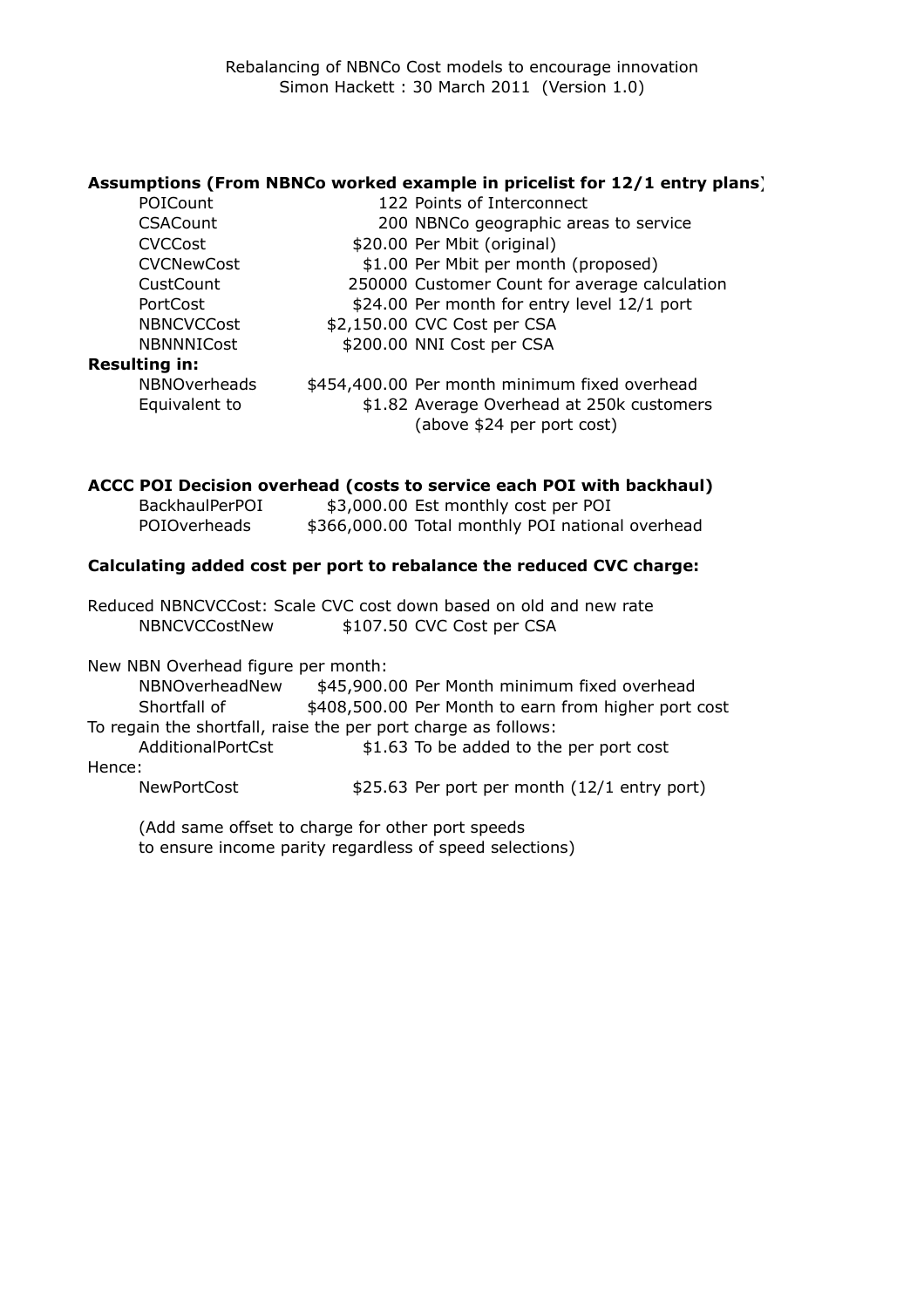### **Assumptions (From NBNCo worked example in pricelist for 12/1 entry plans)**

| POICount             | 122 Points of Interconnect                                              |
|----------------------|-------------------------------------------------------------------------|
| <b>CSACount</b>      | 200 NBNCo geographic areas to service                                   |
| <b>CVCCost</b>       | \$20.00 Per Mbit (original)                                             |
| <b>CVCNewCost</b>    | \$1.00 Per Mbit per month (proposed)                                    |
| CustCount            | 250000 Customer Count for average calculation                           |
| <b>PortCost</b>      | \$24.00 Per month for entry level 12/1 port                             |
| <b>NBNCVCCost</b>    | \$2,150.00 CVC Cost per CSA                                             |
| <b>NBNNNICost</b>    | \$200.00 NNI Cost per CSA                                               |
| <b>Resulting in:</b> |                                                                         |
| <b>NBNOverheads</b>  | \$454,400.00 Per month minimum fixed overhead                           |
| Equivalent to        | \$1.82 Average Overhead at 250k customers<br>(above \$24 per port cost) |
|                      |                                                                         |

## **ACCC POI Decision overhead (costs to service each POI with backhaul)**

| BackhaulPerPOI | \$3,000.00 Est monthly cost per POI              |  |
|----------------|--------------------------------------------------|--|
| POIOverheads   | \$366,000.00 Total monthly POI national overhead |  |

### **Calculating added cost per port to rebalance the reduced CVC charge:**

Reduced NBNCVCCost: Scale CVC cost down based on old and new rate NBNCVCCostNew \$107.50 CVC Cost per CSA

New NBN Overhead figure per month:

NBNOverheadNew \$45,900.00 Per Month minimum fixed overhead Shortfall of \$408,500.00 Per Month to earn from higher port cost To regain the shortfall, raise the per port charge as follows: AdditionalPortCst \$1.63 To be added to the per port cost Hence:

NewPortCost  $$25.63$  Per port per month (12/1 entry port)

(Add same offset to charge for other port speeds to ensure income parity regardless of speed selections)